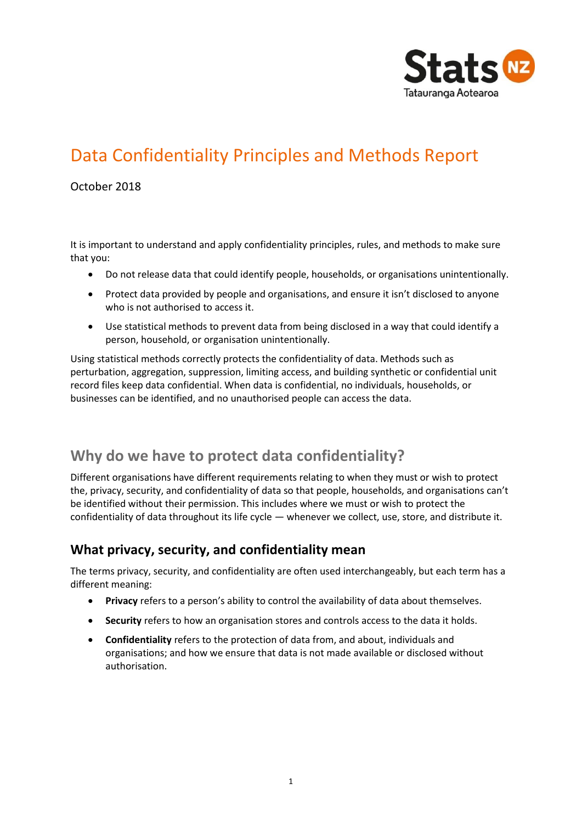

# Data Confidentiality Principles and Methods Report

### October 2018

It is important to understand and apply confidentiality principles, rules, and methods to make sure that you:

- Do not release data that could identify people, households, or organisations unintentionally.
- Protect data provided by people and organisations, and ensure it isn't disclosed to anyone who is not authorised to access it.
- Use statistical methods to prevent data from being disclosed in a way that could identify a person, household, or organisation unintentionally.

Using statistical methods correctly protects the confidentiality of data. Methods such as perturbation, aggregation, suppression, limiting access, and building synthetic or confidential unit record files keep data confidential. When data is confidential, no individuals, households, or businesses can be identified, and no unauthorised people can access the data.

## **Why do we have to protect data confidentiality?**

Different organisations have different requirements relating to when they must or wish to protect the, privacy, security, and confidentiality of data so that people, households, and organisations can't be identified without their permission. This includes where we must or wish to protect the confidentiality of data throughout its life cycle — whenever we collect, use, store, and distribute it.

### **What privacy, security, and confidentiality mean**

The terms privacy, security, and confidentiality are often used interchangeably, but each term has a different meaning:

- **Privacy** refers to a person's ability to control the availability of data about themselves.
- **Security** refers to how an organisation stores and controls access to the data it holds.
- **Confidentiality** refers to the protection of data from, and about, individuals and organisations; and how we ensure that data is not made available or disclosed without authorisation.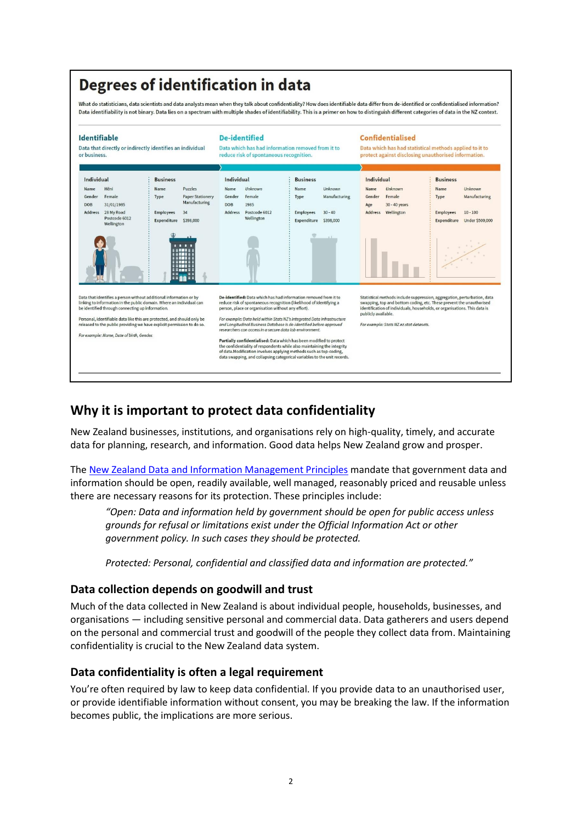# Degrees of identification in data

What do statisticians, data scientists and data analysts mean when they talk about confidentiality? How does identifiable data differ from de-identified or confidentialised information? Data identifiability is not binary. Data lies on a spectrum with multiple shades of identifiability. This is a primer on how to distinguish different categories of data in the NZ context.



## **Why it is important to protect data confidentiality**

New Zealand businesses, institutions, and organisations rely on high-quality, timely, and accurate data for planning, research, and information. Good data helps New Zealand grow and prosper.

The [New Zealand Data and Information Management Principles](https://www.ict.govt.nz/guidance-and-resources/open-government/new-zealand-data-and-information-management-principles/) mandate that government data and information should be open, readily available, well managed, reasonably priced and reusable unless there are necessary reasons for its protection. These principles include:

*"Open: Data and information held by government should be open for public access unless grounds for refusal or limitations exist under the Official Information Act or other government policy. In such cases they should be protected.*

*Protected: Personal, confidential and classified data and information are protected."*

### **Data collection depends on goodwill and trust**

Much of the data collected in New Zealand is about individual people, households, businesses, and organisations — including sensitive personal and commercial data. Data gatherers and users depend on the personal and commercial trust and goodwill of the people they collect data from. Maintaining confidentiality is crucial to the New Zealand data system.

### **Data confidentiality is often a legal requirement**

You're often required by law to keep data confidential. If you provide data to an unauthorised user, or provide identifiable information without consent, you may be breaking the law. If the information becomes public, the implications are more serious.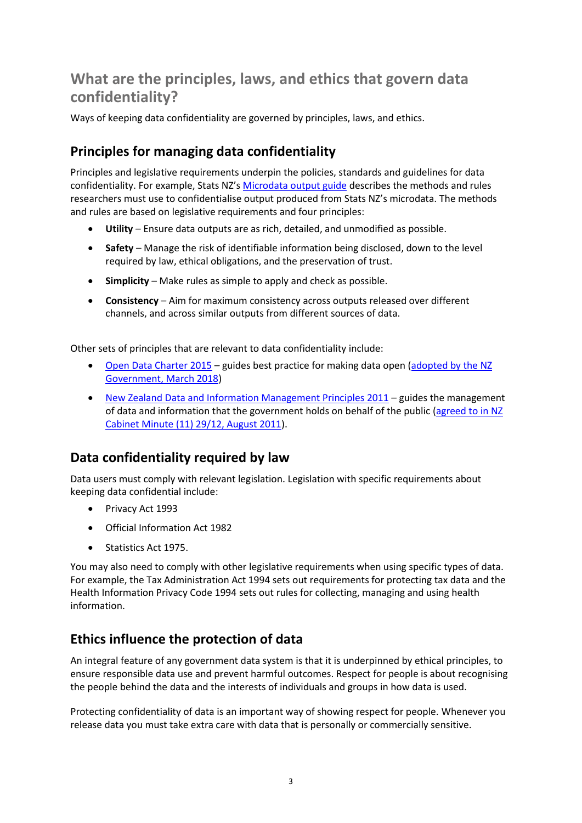## **What are the principles, laws, and ethics that govern data confidentiality?**

Ways of keeping data confidentiality are governed by principles, laws, and ethics.

## **Principles for managing data confidentiality**

Principles and legislative requirements underpin the policies, standards and guidelines for data confidentiality. For example, Stats NZ's [Microdata output guide](http://archive.stats.govt.nz/tools_and_services/microdata-access/data-lab/microdata-output-guide.aspx) describes the methods and rules researchers must use to confidentialise output produced from Stats NZ's microdata. The methods and rules are based on legislative requirements and four principles:

- **Utility** Ensure data outputs are as rich, detailed, and unmodified as possible.
- **Safety** Manage the risk of identifiable information being disclosed, down to the level required by law, ethical obligations, and the preservation of trust.
- **Simplicity** Make rules as simple to apply and check as possible.
- **Consistency** Aim for maximum consistency across outputs released over different channels, and across similar outputs from different sources of data.

Other sets of principles that are relevant to data confidentiality include:

- [Open Data Charter 2015](https://opendatacharter.net/principles/) guides best practice for making data open [\(adopted by the NZ](https://www.beehive.govt.nz/release/new-zealand-adopts-international-open-data-charter-0)  [Government, March 2018\)](https://www.beehive.govt.nz/release/new-zealand-adopts-international-open-data-charter-0)
- [New Zealand Data and Information Management Principles 2011](https://www.ict.govt.nz/guidance-and-resources/open-government/new-zealand-data-and-information-management-principles/) guides the management of data and information that the government holds on behalf of the public (agreed to in NZ [Cabinet Minute \(11\) 29/12, August 2011\)](https://www.ict.govt.nz/assets/Uploads/Documents/CAB-Min-8-August-2011.pdf).

## **Data confidentiality required by law**

Data users must comply with relevant legislation. Legislation with specific requirements about keeping data confidential include:

- Privacy Act 1993
- Official Information Act 1982
- Statistics Act 1975.

You may also need to comply with other legislative requirements when using specific types of data. For example, the Tax Administration Act 1994 sets out requirements for protecting tax data and the [Health Information Privacy Code 1994](https://www.privacy.org.nz/the-privacy-act-and-codes/codes-of-practice/health-information-privacy-code-1994/) sets out rules for collecting, managing and using health information.

## **Ethics influence the protection of data**

An integral feature of any government data system is that it is underpinned by ethical principles, to ensure responsible data use and prevent harmful outcomes. Respect for people is about recognising the people behind the data and the interests of individuals and groups in how data is used.

Protecting confidentiality of data is an important way of showing respect for people. Whenever you release data you must take extra care with data that is personally or commercially sensitive.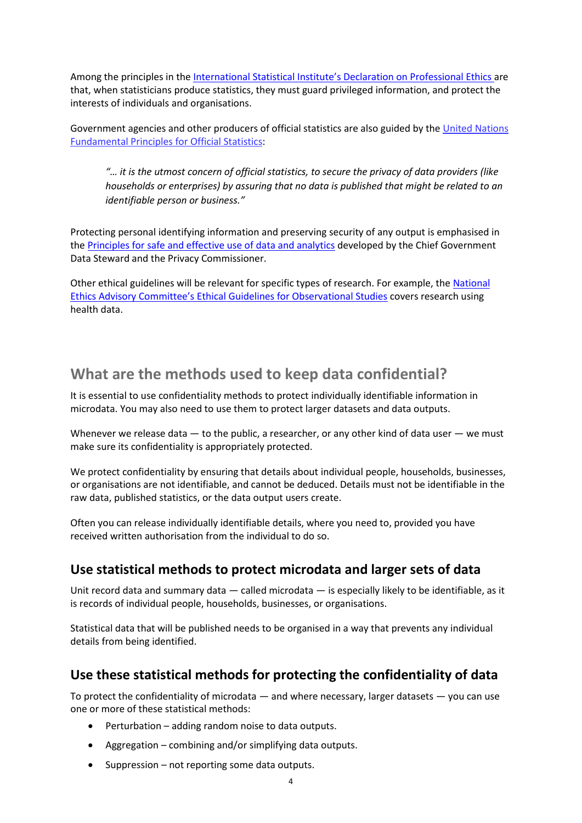Among the principles in the Internatio[nal Statistical Institute's Declaration on Professional Ethics](https://www.isi-web.org/index.php/news-from-isi/34-professional-ethics/296-declarationprofessionalethics-2010uk) are that, when statisticians produce statistics, they must guard privileged information, and protect the interests of individuals and organisations.

Government agencies and other producers of official statistics are also guided by the [United Nations](https://unstats.un.org/unsd/dnss/gp/Implementation_Guidelines_FINAL_without_edit.pdf)  [Fundamental Principles for Official Statistics:](https://unstats.un.org/unsd/dnss/gp/Implementation_Guidelines_FINAL_without_edit.pdf)

*"… it is the utmost concern of official statistics, to secure the privacy of data providers (like households or enterprises) by assuring that no data is published that might be related to an identifiable person or business."* 

Protecting personal identifying information and preserving security of any output is emphasised in th[e Principles for safe and effective use of data and analytics](https://www.stats.govt.nz/assets/Uploads/Data-leadership-fact-sheets/Principles-safe-and-effective-data-and-analytics-May-2018.pdf) developed by the Chief Government Data Steward and the Privacy Commissioner.

Other ethical guidelines will be relevant for specific types of research. For example, the [National](https://neac.health.govt.nz/publications-and-resources/neac-publications/streamlined-ethical-guidelines-health-and-disability)  [Ethics Advisory Committee's Ethical Guidelines for Observational Studies](https://neac.health.govt.nz/publications-and-resources/neac-publications/streamlined-ethical-guidelines-health-and-disability) covers research using health data.

## **What are the methods used to keep data confidential?**

It is essential to use confidentiality methods to protect individually identifiable information in microdata. You may also need to use them to protect larger datasets and data outputs.

Whenever we release data  $-$  to the public, a researcher, or any other kind of data user  $-$  we must make sure its confidentiality is appropriately protected.

We protect confidentiality by ensuring that details about individual people, households, businesses, or organisations are not identifiable, and cannot be deduced. Details must not be identifiable in the raw data, published statistics, or the data output users create.

Often you can release individually identifiable details, where you need to, provided you have received written authorisation from the individual to do so.

### **Use statistical methods to protect microdata and larger sets of data**

Unit record data and summary data — called microdata — is especially likely to be identifiable, as it is records of individual people, households, businesses, or organisations.

Statistical data that will be published needs to be organised in a way that prevents any individual details from being identified.

## **Use these statistical methods for protecting the confidentiality of data**

To protect the confidentiality of microdata  $-$  and where necessary, larger datasets  $-$  you can use one or more of these statistical methods:

- Perturbation adding random noise to data outputs.
- Aggregation combining and/or simplifying data outputs.
- Suppression not reporting some data outputs.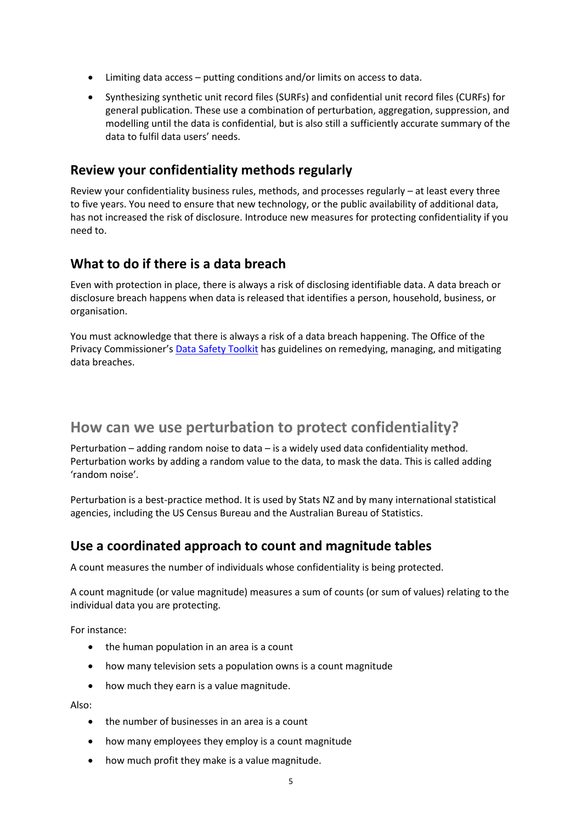- Limiting data access putting conditions and/or limits on access to data.
- Synthesizing synthetic unit record files (SURFs) and confidential unit record files (CURFs) for general publication. These use a combination of perturbation, aggregation, suppression, and modelling until the data is confidential, but is also still a sufficiently accurate summary of the data to fulfil data users' needs.

### **Review your confidentiality methods regularly**

Review your confidentiality business rules, methods, and processes regularly – at least every three to five years. You need to ensure that new technology, or the public availability of additional data, has not increased the risk of disclosure. Introduce new measures for protecting confidentiality if you need to.

### **What to do if there is a data breach**

Even with protection in place, there is always a risk of disclosing identifiable data. A data breach or disclosure breach happens when data is released that identifies a person, household, business, or organisation.

You must acknowledge that there is always a risk of a data breach happening. The Office of the Privacy Commissioner's [Data Safety Toolkit](https://www.privacy.org.nz/data-breaches/data-safety-toolkit/) has guidelines on remedying, managing, and mitigating data breaches.

## **How can we use perturbation to protect confidentiality?**

Perturbation – adding random noise to data – is a widely used data confidentiality method. Perturbation works by adding a random value to the data, to mask the data. This is called adding 'random noise'.

Perturbation is a best-practice method. It is used by Stats NZ and by many international statistical agencies, including the US Census Bureau and the Australian Bureau of Statistics.

### **Use a coordinated approach to count and magnitude tables**

A count measures the number of individuals whose confidentiality is being protected.

A count magnitude (or value magnitude) measures a sum of counts (or sum of values) relating to the individual data you are protecting.

For instance:

- the human population in an area is a count
- how many television sets a population owns is a count magnitude
- how much they earn is a value magnitude.

Also:

- the number of businesses in an area is a count
- how many employees they employ is a count magnitude
- how much profit they make is a value magnitude.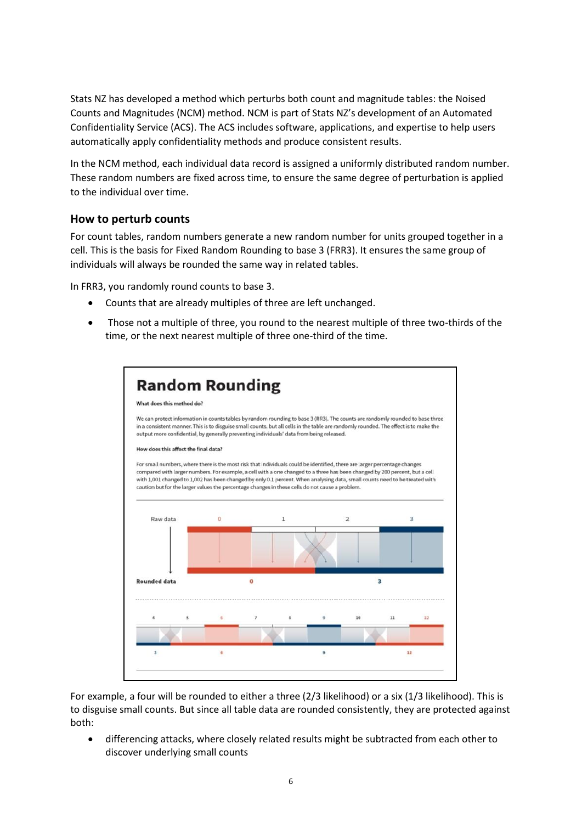Stats NZ has developed a method which perturbs both count and magnitude tables: the Noised Counts and Magnitudes (NCM) method. NCM is part of Stats NZ's development of an Automated Confidentiality Service (ACS). The ACS includes software, applications, and expertise to help users automatically apply confidentiality methods and produce consistent results.

In the NCM method, each individual data record is assigned a uniformly distributed random number. These random numbers are fixed across time, to ensure the same degree of perturbation is applied to the individual over time.

#### **How to perturb counts**

For count tables, random numbers generate a new random number for units grouped together in a cell. This is the basis for Fixed Random Rounding to base 3 (FRR3). It ensures the same group of individuals will always be rounded the same way in related tables.

In FRR3, you randomly round counts to base 3.

- Counts that are already multiples of three are left unchanged.
- Those not a multiple of three, you round to the nearest multiple of three two-thirds of the time, or the next nearest multiple of three one-third of the time.



For example, a four will be rounded to either a three (2/3 likelihood) or a six (1/3 likelihood). This is to disguise small counts. But since all table data are rounded consistently, they are protected against both:

• differencing attacks, where closely related results might be subtracted from each other to discover underlying small counts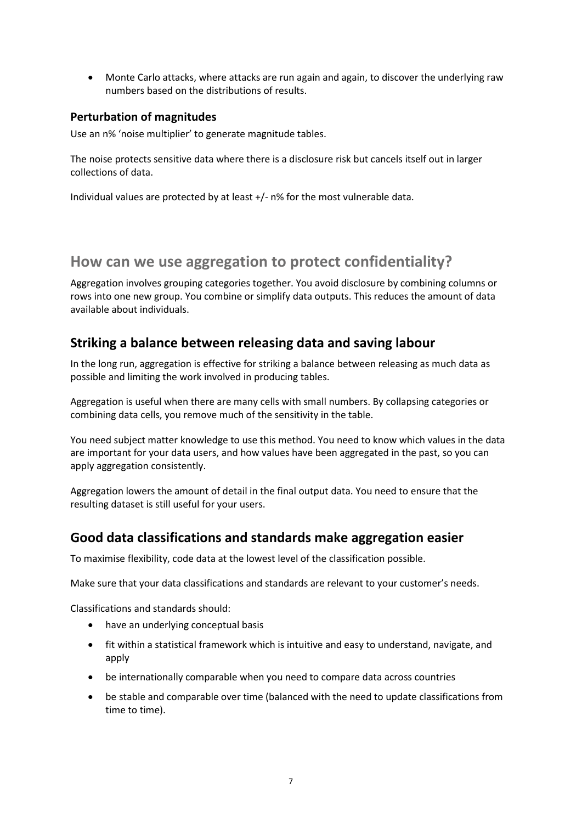• Monte Carlo attacks, where attacks are run again and again, to discover the underlying raw numbers based on the distributions of results.

#### **Perturbation of magnitudes**

Use an n% 'noise multiplier' to generate magnitude tables.

The noise protects sensitive data where there is a disclosure risk but cancels itself out in larger collections of data.

Individual values are protected by at least +/- n% for the most vulnerable data.

## **How can we use aggregation to protect confidentiality?**

Aggregation involves grouping categories together. You avoid disclosure by combining columns or rows into one new group. You combine or simplify data outputs. This reduces the amount of data available about individuals.

### **Striking a balance between releasing data and saving labour**

In the long run, aggregation is effective for striking a balance between releasing as much data as possible and limiting the work involved in producing tables.

Aggregation is useful when there are many cells with small numbers. By collapsing categories or combining data cells, you remove much of the sensitivity in the table.

You need subject matter knowledge to use this method. You need to know which values in the data are important for your data users, and how values have been aggregated in the past, so you can apply aggregation consistently.

Aggregation lowers the amount of detail in the final output data. You need to ensure that the resulting dataset is still useful for your users.

### **Good data classifications and standards make aggregation easier**

To maximise flexibility, code data at the lowest level of the classification possible.

Make sure that your data classifications and standards are relevant to your customer's needs.

Classifications and standards should:

- have an underlying conceptual basis
- fit within a statistical framework which is intuitive and easy to understand, navigate, and apply
- be internationally comparable when you need to compare data across countries
- be stable and comparable over time (balanced with the need to update classifications from time to time).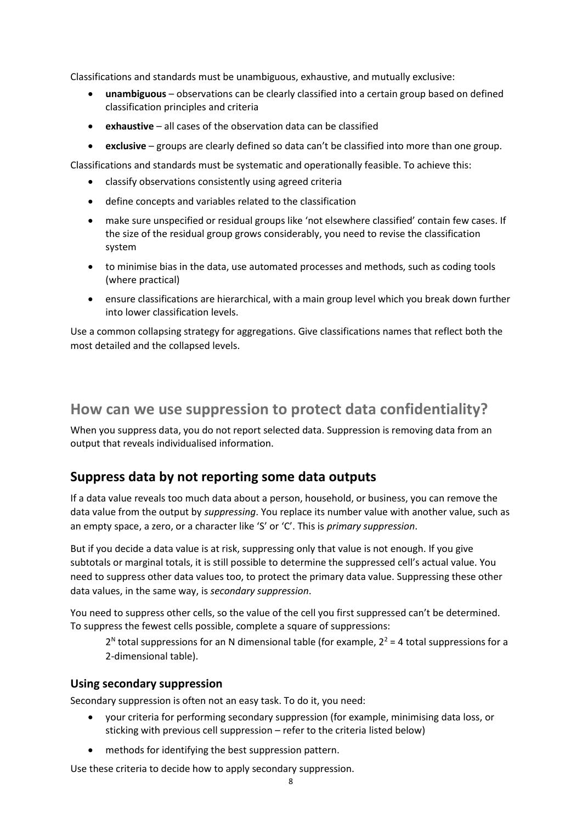Classifications and standards must be unambiguous, exhaustive, and mutually exclusive:

- **unambiguous** observations can be clearly classified into a certain group based on defined classification principles and criteria
- **exhaustive** all cases of the observation data can be classified
- **exclusive** groups are clearly defined so data can't be classified into more than one group.

Classifications and standards must be systematic and operationally feasible. To achieve this:

- classify observations consistently using agreed criteria
- define concepts and variables related to the classification
- make sure unspecified or residual groups like 'not elsewhere classified' contain few cases. If the size of the residual group grows considerably, you need to revise the classification system
- to minimise bias in the data, use automated processes and methods, such as coding tools (where practical)
- ensure classifications are hierarchical, with a main group level which you break down further into lower classification levels.

Use a common collapsing strategy for aggregations. Give classifications names that reflect both the most detailed and the collapsed levels.

## **How can we use suppression to protect data confidentiality?**

When you suppress data, you do not report selected data. Suppression is removing data from an output that reveals individualised information.

### **Suppress data by not reporting some data outputs**

If a data value reveals too much data about a person, household, or business, you can remove the data value from the output by *suppressing*. You replace its number value with another value, such as an empty space, a zero, or a character like 'S' or 'C'. This is *primary suppression*.

But if you decide a data value is at risk, suppressing only that value is not enough. If you give subtotals or marginal totals, it is still possible to determine the suppressed cell's actual value. You need to suppress other data values too, to protect the primary data value. Suppressing these other data values, in the same way, is *secondary suppression*.

You need to suppress other cells, so the value of the cell you first suppressed can't be determined. To suppress the fewest cells possible, complete a square of suppressions:

 $2<sup>N</sup>$  total suppressions for an N dimensional table (for example,  $2<sup>2</sup>$  = 4 total suppressions for a 2-dimensional table).

#### **Using secondary suppression**

Secondary suppression is often not an easy task. To do it, you need:

- your criteria for performing secondary suppression (for example, minimising data loss, or sticking with previous cell suppression – refer to the criteria listed below)
- methods for identifying the best suppression pattern.

Use these criteria to decide how to apply secondary suppression.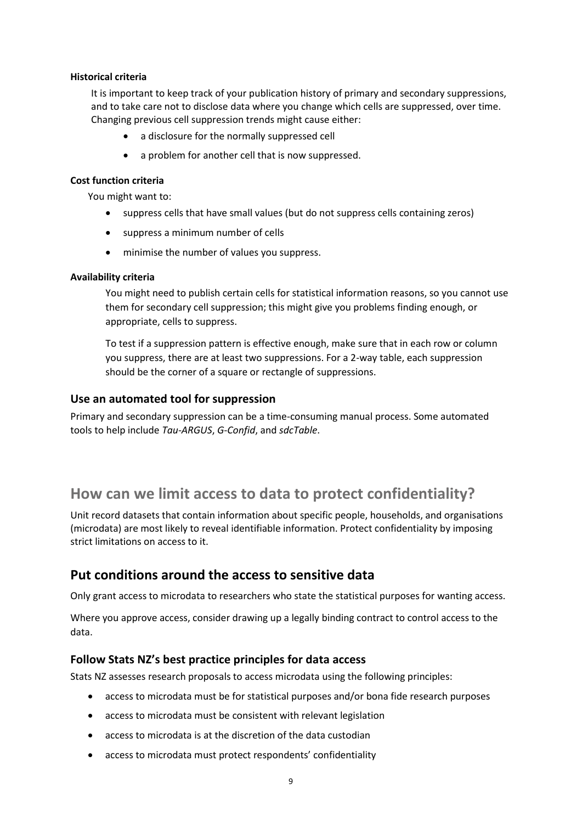#### **Historical criteria**

It is important to keep track of your publication history of primary and secondary suppressions, and to take care not to disclose data where you change which cells are suppressed, over time. Changing previous cell suppression trends might cause either:

- a disclosure for the normally suppressed cell
- a problem for another cell that is now suppressed.

#### **Cost function criteria**

You might want to:

- suppress cells that have small values (but do not suppress cells containing zeros)
- suppress a minimum number of cells
- minimise the number of values you suppress.

#### **Availability criteria**

You might need to publish certain cells for statistical information reasons, so you cannot use them for secondary cell suppression; this might give you problems finding enough, or appropriate, cells to suppress.

To test if a suppression pattern is effective enough, make sure that in each row or column you suppress, there are at least two suppressions. For a 2-way table, each suppression should be the corner of a square or rectangle of suppressions.

#### **Use an automated tool for suppression**

Primary and secondary suppression can be a time-consuming manual process. Some automated tools to help include *Tau-ARGUS*, *G-Confid*, and *sdcTable*.

## **How can we limit access to data to protect confidentiality?**

Unit record datasets that contain information about specific people, households, and organisations (microdata) are most likely to reveal identifiable information. Protect confidentiality by imposing strict limitations on access to it.

### **Put conditions around the access to sensitive data**

Only grant access to microdata to researchers who state the statistical purposes for wanting access.

Where you approve access, consider drawing up a legally binding contract to control access to the data.

### **Follow Stats NZ's best practice principles for data access**

Stats NZ assesses research proposals to access microdata using the following principles:

- access to microdata must be for statistical purposes and/or bona fide research purposes
- access to microdata must be consistent with relevant legislation
- access to microdata is at the discretion of the data custodian
- access to microdata must protect respondents' confidentiality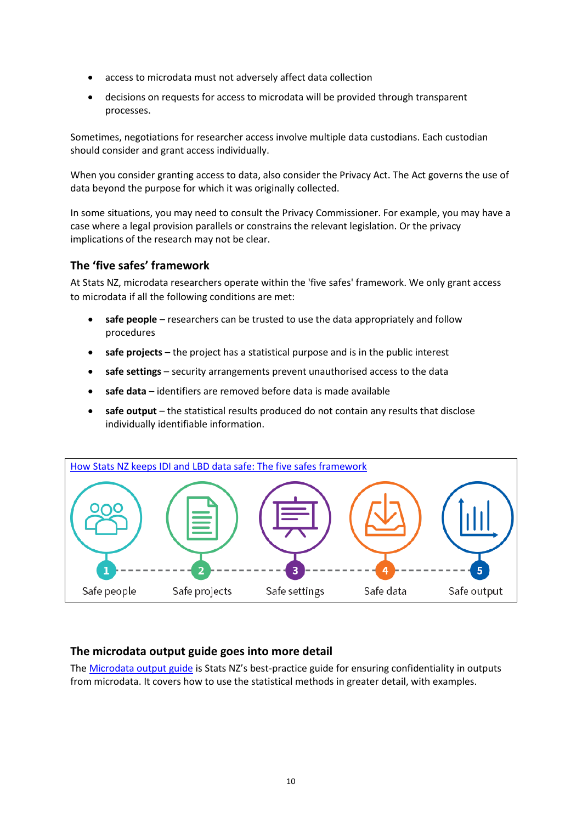- access to microdata must not adversely affect data collection
- decisions on requests for access to microdata will be provided through transparent processes.

Sometimes, negotiations for researcher access involve multiple data custodians. Each custodian should consider and grant access individually.

When you consider granting access to data, also consider the Privacy Act. The Act governs the use of data beyond the purpose for which it was originally collected.

In some situations, you may need to consult the Privacy Commissioner. For example, you may have a case where a legal provision parallels or constrains the relevant legislation. Or the privacy implications of the research may not be clear.

### **The 'five safes' framework**

At Stats NZ, microdata researchers operate within the 'five safes' framework. We only grant access to microdata if all the following conditions are met:

- **safe people** researchers can be trusted to use the data appropriately and follow procedures
- **safe projects** the project has a statistical purpose and is in the public interest
- **safe settings** security arrangements prevent unauthorised access to the data
- **safe data** identifiers are removed before data is made available
- **safe output** the statistical results produced do not contain any results that disclose individually identifiable information.



### **The microdata output guide goes into more detail**

The [Microdata output guide](http://archive.stats.govt.nz/tools_and_services/microdata-access/data-lab/microdata-output-guide.aspx) is Stats NZ's best-practice guide for ensuring confidentiality in outputs from microdata. It covers how to use the statistical methods in greater detail, with examples.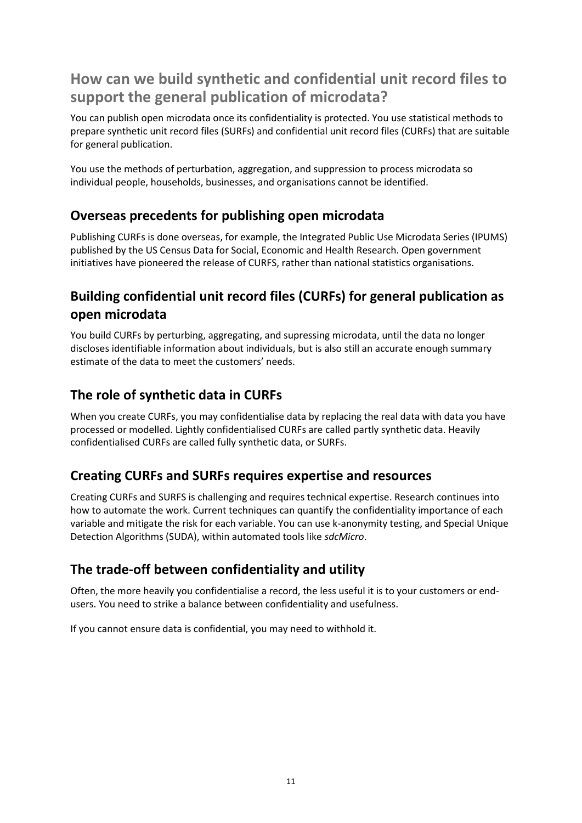## **How can we build synthetic and confidential unit record files to support the general publication of microdata?**

You can publish open microdata once its confidentiality is protected. You use statistical methods to prepare synthetic unit record files (SURFs) and confidential unit record files (CURFs) that are suitable for general publication.

You use the methods of perturbation, aggregation, and suppression to process microdata so individual people, households, businesses, and organisations cannot be identified.

## **Overseas precedents for publishing open microdata**

Publishing CURFs is done overseas, for example, the Integrated Public Use Microdata Series (IPUMS) published by the US Census Data for Social, Economic and Health Research. Open government initiatives have pioneered the release of CURFS, rather than national statistics organisations.

## **Building confidential unit record files (CURFs) for general publication as open microdata**

You build CURFs by perturbing, aggregating, and supressing microdata, until the data no longer discloses identifiable information about individuals, but is also still an accurate enough summary estimate of the data to meet the customers' needs.

## **The role of synthetic data in CURFs**

When you create CURFs, you may confidentialise data by replacing the real data with data you have processed or modelled. Lightly confidentialised CURFs are called partly synthetic data. Heavily confidentialised CURFs are called fully synthetic data, or SURFs.

## **Creating CURFs and SURFs requires expertise and resources**

Creating CURFs and SURFS is challenging and requires technical expertise. Research continues into how to automate the work. Current techniques can quantify the confidentiality importance of each variable and mitigate the risk for each variable. You can use k-anonymity testing, and Special Unique Detection Algorithms (SUDA), within automated tools like *sdcMicro*.

## **The trade-off between confidentiality and utility**

Often, the more heavily you confidentialise a record, the less useful it is to your customers or endusers. You need to strike a balance between confidentiality and usefulness.

If you cannot ensure data is confidential, you may need to withhold it.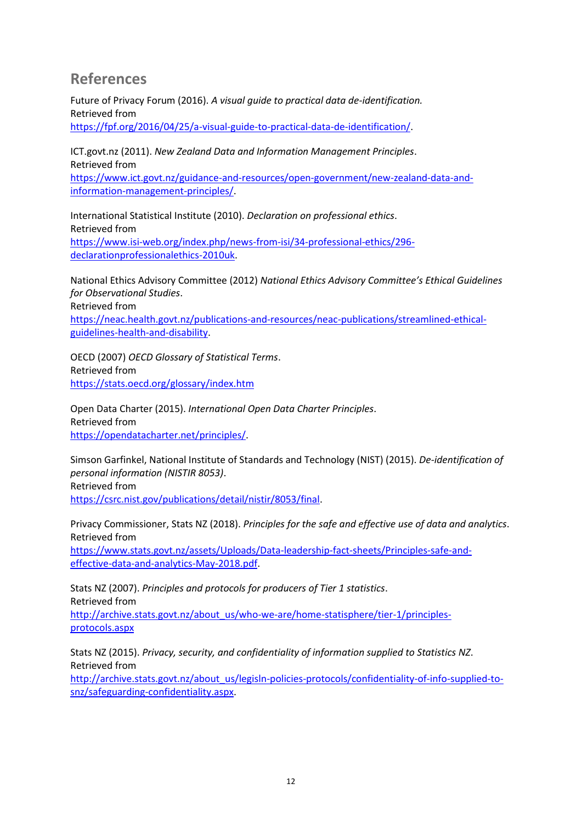## **References**

Future of Privacy Forum (2016). *A visual guide to practical data de-identification.* Retrieved from [https://fpf.org/2016/04/25/a-visual-guide-to-practical-data-de-identification/.](https://fpf.org/2016/04/25/a-visual-guide-to-practical-data-de-identification/)

ICT.govt.nz (2011). *New Zealand Data and Information Management Principles*. Retrieved from

[https://www.ict.govt.nz/guidance-and-resources/open-government/new-zealand-data-and](https://www.ict.govt.nz/guidance-and-resources/open-government/new-zealand-data-and-information-management-principles/)[information-management-principles/.](https://www.ict.govt.nz/guidance-and-resources/open-government/new-zealand-data-and-information-management-principles/)

International Statistical Institute (2010). *Declaration on professional ethics*. Retrieved from [https://www.isi-web.org/index.php/news-from-isi/34-professional-ethics/296](https://www.isi-web.org/index.php/news-from-isi/34-professional-ethics/296-declarationprofessionalethics-2010uk) [declarationprofessionalethics-2010uk.](https://www.isi-web.org/index.php/news-from-isi/34-professional-ethics/296-declarationprofessionalethics-2010uk)

National Ethics Advisory Committee (2012) *National Ethics Advisory Committee's Ethical Guidelines for Observational Studies*.

Retrieved from

[https://neac.health.govt.nz/publications-and-resources/neac-publications/streamlined-ethical](https://neac.health.govt.nz/publications-and-resources/neac-publications/streamlined-ethical-guidelines-health-and-disability)[guidelines-health-and-disability.](https://neac.health.govt.nz/publications-and-resources/neac-publications/streamlined-ethical-guidelines-health-and-disability)

OECD (2007) *OECD Glossary of Statistical Terms*. Retrieved from <https://stats.oecd.org/glossary/index.htm>

Open Data Charter (2015). *International Open Data Charter Principles*. Retrieved from [https://opendatacharter.net/principles/.](https://opendatacharter.net/principles/)

Simson Garfinkel, National Institute of Standards and Technology (NIST) (2015). *De-identification of personal information (NISTIR 8053)*. Retrieved from

[https://csrc.nist.gov/publications/detail/nistir/8053/final.](https://csrc.nist.gov/publications/detail/nistir/8053/final)

Privacy Commissioner, Stats NZ (2018). *Principles for the safe and effective use of data and analytics*. Retrieved from [https://www.stats.govt.nz/assets/Uploads/Data-leadership-fact-sheets/Principles-safe-and-](https://www.stats.govt.nz/assets/Uploads/Data-leadership-fact-sheets/Principles-safe-and-effective-data-and-analytics-May-2018.pdf)

[effective-data-and-analytics-May-2018.pdf.](https://www.stats.govt.nz/assets/Uploads/Data-leadership-fact-sheets/Principles-safe-and-effective-data-and-analytics-May-2018.pdf)

Stats NZ (2007). *Principles and protocols for producers of Tier 1 statistics*. Retrieved from [http://archive.stats.govt.nz/about\\_us/who-we-are/home-statisphere/tier-1/principles](http://archive.stats.govt.nz/about_us/who-we-are/home-statisphere/tier-1/principles-protocols.aspx)[protocols.aspx](http://archive.stats.govt.nz/about_us/who-we-are/home-statisphere/tier-1/principles-protocols.aspx)

Stats NZ (2015). *Privacy, security, and confidentiality of information supplied to Statistics NZ*. Retrieved from

[http://archive.stats.govt.nz/about\\_us/legisln-policies-protocols/confidentiality-of-info-supplied-to](http://archive.stats.govt.nz/about_us/legisln-policies-protocols/confidentiality-of-info-supplied-to-snz/safeguarding-confidentiality.aspx)[snz/safeguarding-confidentiality.aspx.](http://archive.stats.govt.nz/about_us/legisln-policies-protocols/confidentiality-of-info-supplied-to-snz/safeguarding-confidentiality.aspx)